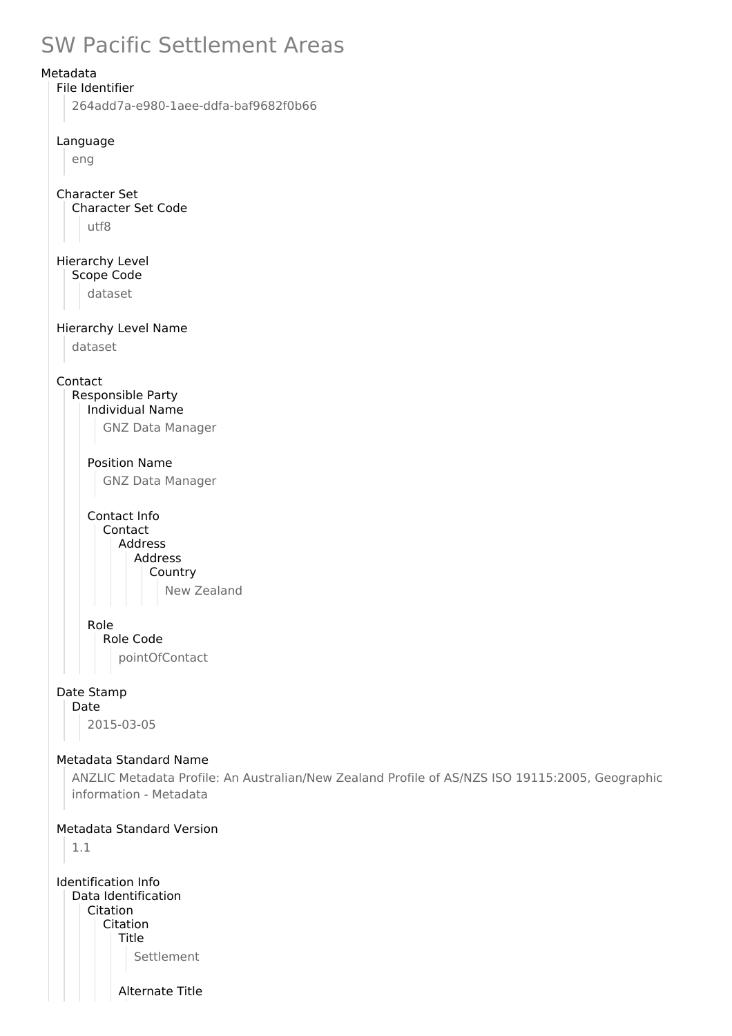# SW Pacific Settlement Areas



Settlement

Alternate Title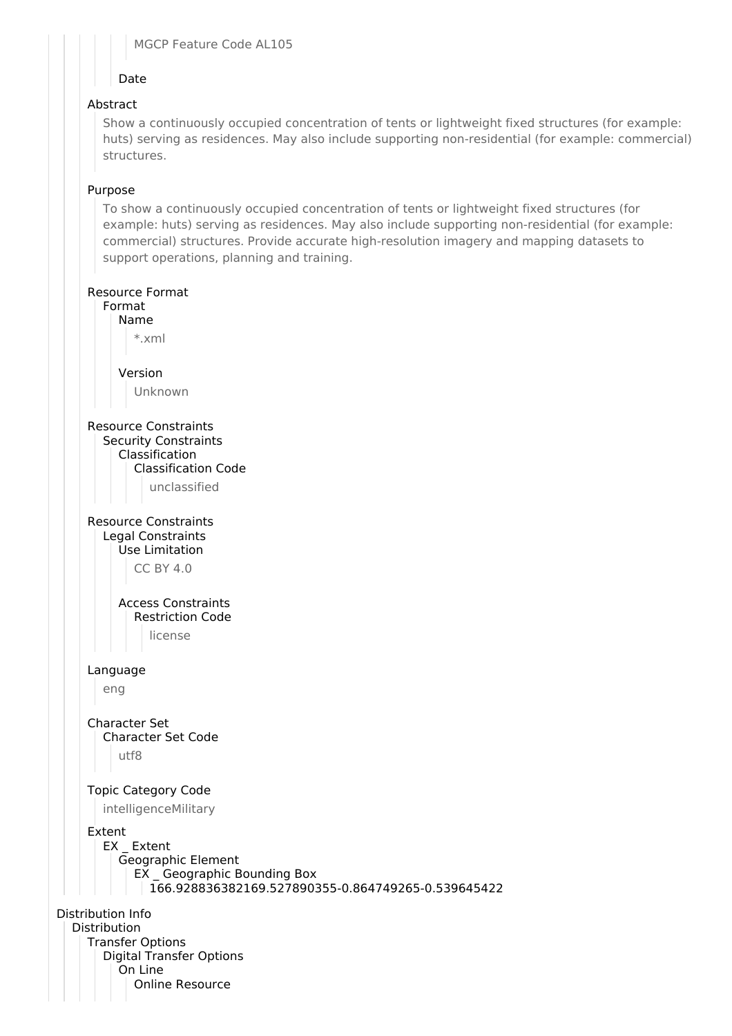#### MGCP Feature Code AL105

## Date

## Abstract

Show a continuously occupied concentration of tents or lightweight fixed structures (for example: huts) serving as residences. May also include supporting non-residential (for example: commercial) structures.

## Purpose

To show a continuously occupied concentration of tents or lightweight fixed structures (for example: huts) serving as residences. May also include supporting non-residential (for example: commercial) structures. Provide accurate high-resolution imagery and mapping datasets to support operations, planning and training.